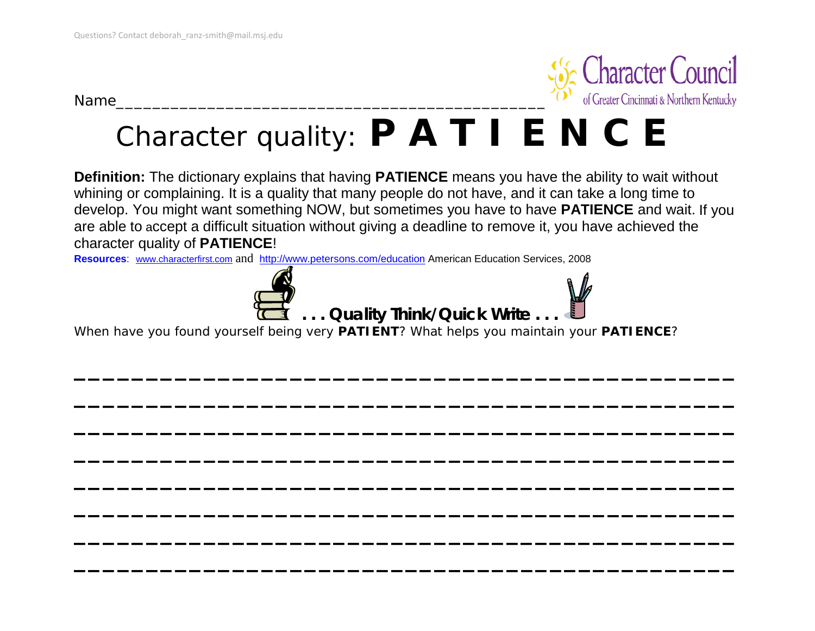Name\_\_\_\_\_\_\_\_\_\_\_\_\_\_\_\_\_\_\_\_\_\_\_\_\_\_\_\_\_\_\_\_\_\_\_\_\_\_\_\_\_\_\_\_\_\_\_



# Character quality: **P A T I E N C E**

**Definition:** The dictionary explains that having **PATIENCE** means you have the ability to wait without whining or complaining. It is a quality that many people do not have, and it can take a long time to develop. You might want something NOW, but sometimes you have to have **PATIENCE** and wait. If you are able to accept a difficult situation without giving a deadline to remove it, you have achieved the character quality of **PATIENCE**!

**\_\_\_\_\_\_\_\_\_\_\_\_\_\_\_\_\_\_\_\_\_\_\_\_\_\_\_\_\_\_\_\_\_\_\_\_\_\_\_\_\_\_\_\_\_\_**

**\_\_\_\_\_\_\_\_\_\_\_\_\_\_\_\_\_\_\_\_\_\_\_\_\_\_\_\_\_\_\_\_\_\_\_\_\_\_\_\_\_\_\_\_\_\_**

**\_\_\_\_\_\_\_\_\_\_\_\_\_\_\_\_\_\_\_\_\_\_\_\_\_\_\_\_\_\_\_\_\_\_\_\_\_\_\_\_\_\_\_\_\_\_**

**\_\_\_\_\_\_\_\_\_\_\_\_\_\_\_\_\_\_\_\_\_\_\_\_\_\_\_\_\_\_\_\_\_\_\_\_\_\_\_\_\_\_\_\_\_\_**

**\_\_\_\_\_\_\_\_\_\_\_\_\_\_\_\_\_\_\_\_\_\_\_\_\_\_\_\_\_\_\_\_\_\_\_\_\_\_\_\_\_\_\_\_\_\_**

**\_\_\_\_\_\_\_\_\_\_\_\_\_\_\_\_\_\_\_\_\_\_\_\_\_\_\_\_\_\_\_\_\_\_\_\_\_\_\_\_\_\_\_\_\_\_**

**\_\_\_\_\_\_\_\_\_\_\_\_\_\_\_\_\_\_\_\_\_\_\_\_\_\_\_\_\_\_\_\_\_\_\_\_\_\_\_\_\_\_\_\_\_\_**

**\_\_\_\_\_\_\_\_\_\_\_\_\_\_\_\_\_\_\_\_\_\_\_\_\_\_\_\_\_\_\_\_\_\_\_\_\_\_\_\_\_\_\_\_\_\_**

**Resources**: [www.characterfirst.com](http://www.characterfirst.com/) and [http://www.petersons.com/education](http://www.petersons.com/education_planner/discovering_article.asp?sponsor=2859&articleName=Character_Development) American Education Services, 2008





When have you found yourself being very **PATIENT**? What helps you maintain your **PATIENCE**?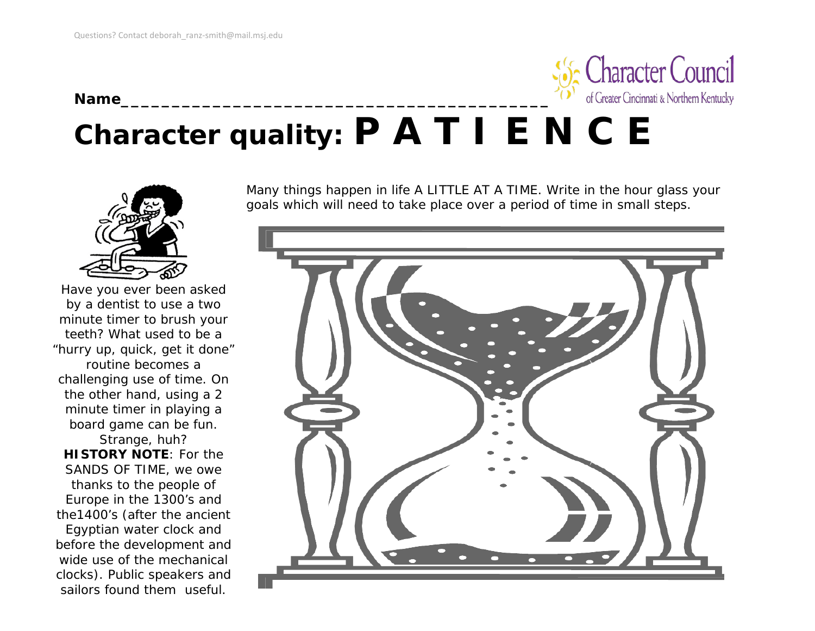

### **Character quality: P A T I E N C E**



Have you ever been asked by a dentist to use a two minute timer to brush your teeth? What used to be a "hurry up, quick, get it done" routine becomes a challenging use of time. On the other hand, using a 2 minute timer in playing a board game can be fun.

Strange, huh? **HISTORY NOTE**: For the SANDS OF TIME, we owe thanks to the people of Europe in the 1300's and the1400's (after the ancient Egyptian water clock and before the development and wide use of the mechanical clocks). Public speakers and sailors found them useful.

Many things happen in life A LITTLE AT A TIME. Write in the hour glass your goals which will need to take place over a period of time in small steps.

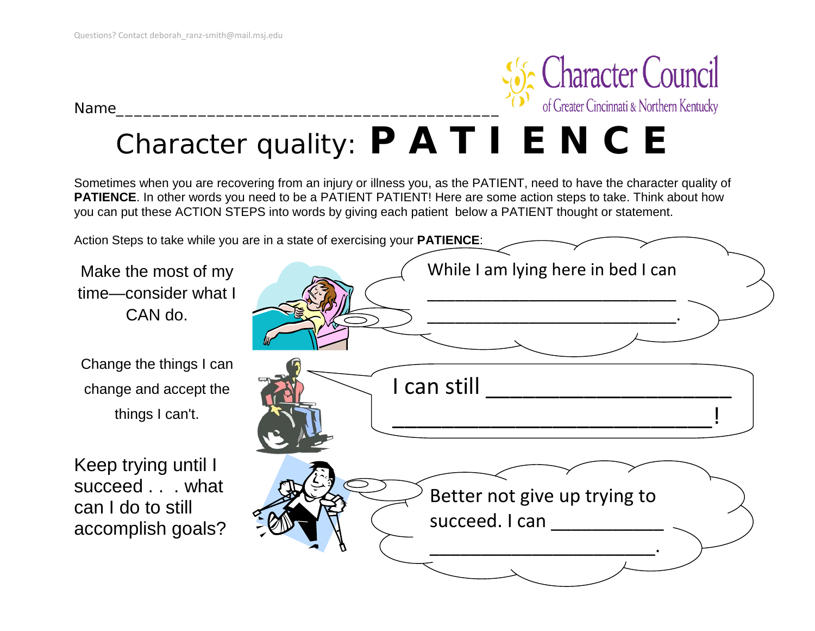



#### Character quality: **P A T I E N C E**

Sometimes when you are recovering from an injury or illness you, as the PATIENT, need to have the character quality of **PATIENCE**. In other words you need to be a PATIENT PATIENT! Here are some action steps to take. Think about how you can put these ACTION STEPS into words by giving each patient below a PATIENT thought or statement.

Action Steps to take while you are in a state of exercising your **PATIENCE**:

Make the most of my time—consider what I CAN do.

Change the things I can change and accept the things I can't.

Keep trying until I succeed . . . what can I do to still accomplish goals?

| While I am lying here in bed I can             |
|------------------------------------------------|
|                                                |
| I can still                                    |
| Better not give up trying to<br>succeed. I can |
|                                                |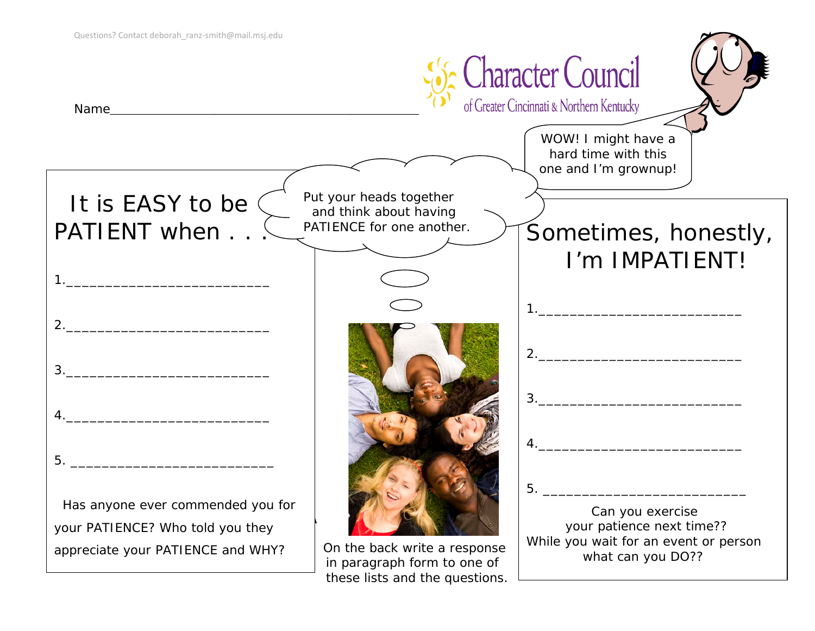

these lists and the questions.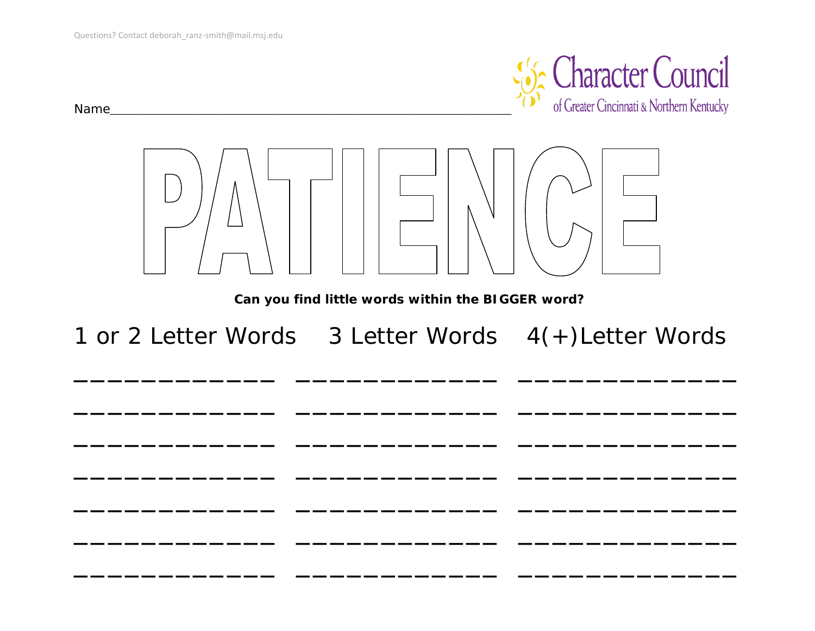

Name and the contract of the contract of the contract of the contract of the contract of the contract of the contract of the contract of the contract of the contract of the contract of the contract of the contract of the c



Can you find little words within the BIGGER word?

1 or 2 Letter Words 3 Letter Words 4(+) Letter Words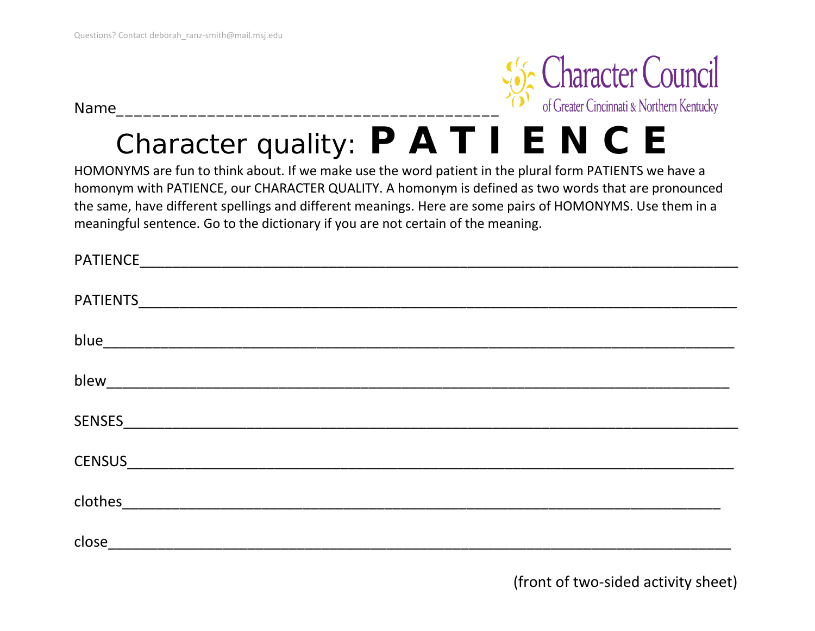Name\_\_\_\_\_\_\_\_\_\_\_\_\_\_\_\_\_\_\_\_\_\_\_\_\_\_\_\_\_\_\_\_\_\_\_\_\_\_\_\_\_\_



# Character quality: **P A T I E N C E**

HOMONYMS are fun to think about. If we make use the word patient in the plural form PATIENTS we have a homonym with PATIENCE, our CHARACTER QUALITY. A homonym is defined as two words that are pronounced the same, have different spellings and different meanings. Here are some pairs of HOMONYMS. Use them in a meaningful sentence. Go to the dictionary if you are not certain of the meaning.

| <b>PATIENCE</b>                                                          |  |
|--------------------------------------------------------------------------|--|
|                                                                          |  |
| <b>PATIENTS</b>                                                          |  |
|                                                                          |  |
|                                                                          |  |
|                                                                          |  |
| blew_                                                                    |  |
|                                                                          |  |
| <b>SENSES</b>                                                            |  |
|                                                                          |  |
| <b>CENSUS</b><br><u> 1980 - Jan Barbara, martxa al II-lea (h. 1980).</u> |  |
|                                                                          |  |
| clothes<br><u> 1980 - Jan Barbarat, martin al-Amerikaansk politik (</u>  |  |
|                                                                          |  |
| close                                                                    |  |

(front of two-sided activity sheet)